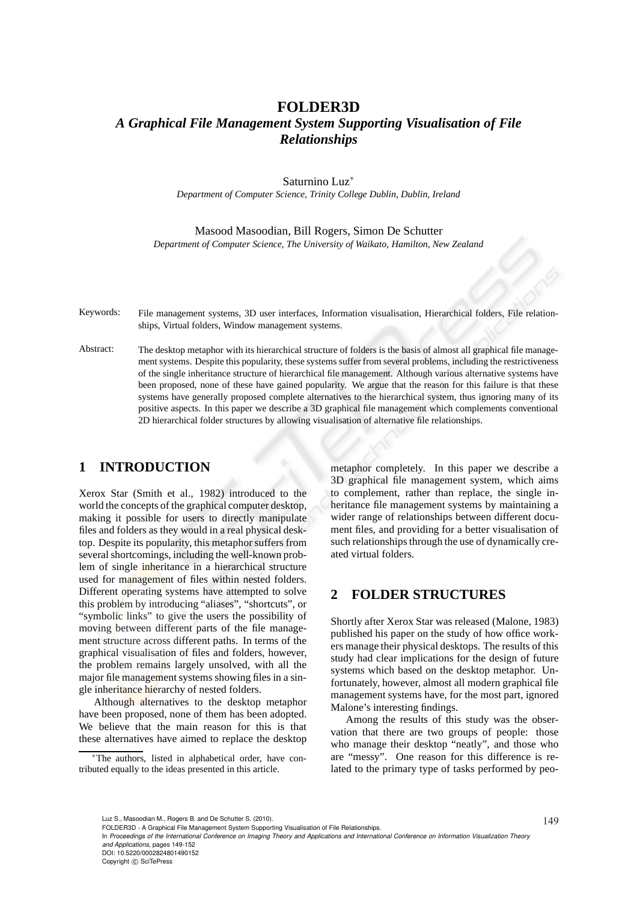## **FOLDER3D**

# *A Graphical File Management System Supporting Visualisation of File Relationships*

Saturnino Luz<sup>∗</sup>

*Department of Computer Science, Trinity College Dublin, Dublin, Ireland*

Masood Masoodian, Bill Rogers, Simon De Schutter *Department of Computer Science, The University of Waikato, Hamilton, New Zealand*

Keywords: File management systems, 3D user interfaces, Information visualisation, Hierarchical folders, File relationships, Virtual folders, Window management systems.

Abstract: The desktop metaphor with its hierarchical structure of folders is the basis of almost all graphical file management systems. Despite this popularity, these systems suffer from several problems, including the restrictiveness of the single inheritance structure of hierarchical file management. Although various alternative systems have been proposed, none of these have gained popularity. We argue that the reason for this failure is that these systems have generally proposed complete alternatives to the hierarchical system, thus ignoring many of its positive aspects. In this paper we describe a 3D graphical file management which complements conventional 2D hierarchical folder structures by allowing visualisation of alternative file relationships.

### **1 INTRODUCTION**

Xerox Star (Smith et al., 1982) introduced to the world the concepts of the graphical computer desktop, making it possible for users to directly manipulate files and folders as they would in a real physical desktop. Despite its popularity, this metaphor suffers from several shortcomings, including the well-known problem of single inheritance in a hierarchical structure used for management of files within nested folders. Different operating systems have attempted to solve this problem by introducing "aliases", "shortcuts", or "symbolic links" to give the users the possibility of moving between different parts of the file management structure across different paths. In terms of the graphical visualisation of files and folders, however, the problem remains largely unsolved, with all the major file management systems showing files in a single inheritance hierarchy of nested folders.

Although alternatives to the desktop metaphor have been proposed, none of them has been adopted. We believe that the main reason for this is that these alternatives have aimed to replace the desktop

metaphor completely. In this paper we describe a 3D graphical file management system, which aims to complement, rather than replace, the single inheritance file management systems by maintaining a wider range of relationships between different document files, and providing for a better visualisation of such relationships through the use of dynamically created virtual folders.

#### **2 FOLDER STRUCTURES**

Shortly after Xerox Star was released (Malone, 1983) published his paper on the study of how office workers manage their physical desktops. The results of this study had clear implications for the design of future systems which based on the desktop metaphor. Unfortunately, however, almost all modern graphical file management systems have, for the most part, ignored Malone's interesting findings.

Among the results of this study was the observation that there are two groups of people: those who manage their desktop "neatly", and those who are "messy". One reason for this difference is related to the primary type of tasks performed by peo-

*and Applications*, pages 149-152

DOI: 10.5220/0002824801490152

<sup>∗</sup>The authors, listed in alphabetical order, have contributed equally to the ideas presented in this article.

Luz S., Masoodian M., Rogers B. and De Schutter S. (2010).<br>FOLDER3D - A Graphical File Management System Supporting Visualisation of File Relationships.

In *Proceedings of the International Conference on Imaging Theory and Applications and International Conference on Information Visualization Theory*

Copyright © SciTePress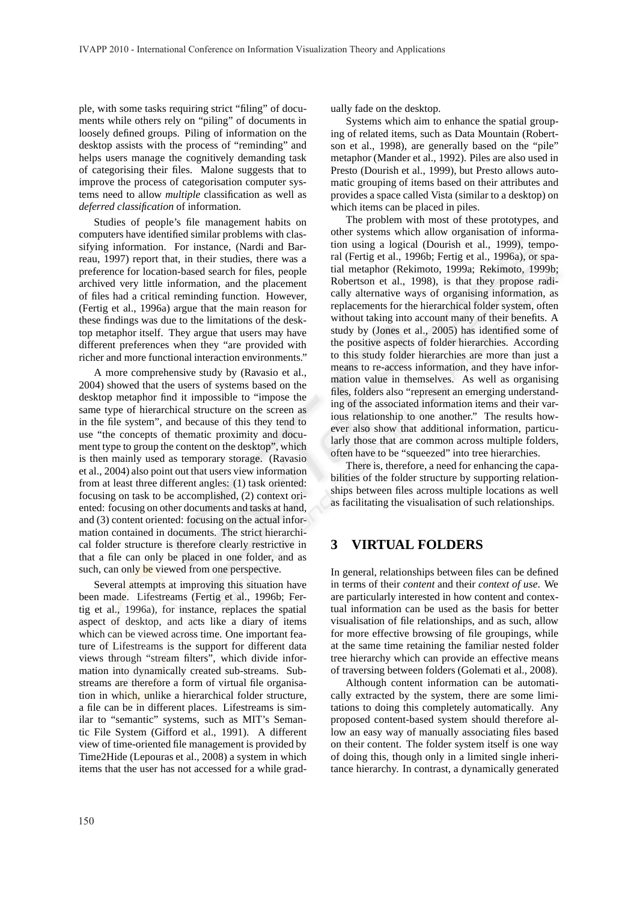ple, with some tasks requiring strict "filing" of documents while others rely on "piling" of documents in loosely defined groups. Piling of information on the desktop assists with the process of "reminding" and helps users manage the cognitively demanding task of categorising their files. Malone suggests that to improve the process of categorisation computer systems need to allow *multiple* classification as well as *deferred classification* of information.

Studies of people's file management habits on computers have identified similar problems with classifying information. For instance, (Nardi and Barreau, 1997) report that, in their studies, there was a preference for location-based search for files, people archived very little information, and the placement of files had a critical reminding function. However, (Fertig et al., 1996a) argue that the main reason for these findings was due to the limitations of the desktop metaphor itself. They argue that users may have different preferences when they "are provided with richer and more functional interaction environments."

A more comprehensive study by (Ravasio et al., 2004) showed that the users of systems based on the desktop metaphor find it impossible to "impose the same type of hierarchical structure on the screen as in the file system", and because of this they tend to use "the concepts of thematic proximity and document type to group the content on the desktop", which is then mainly used as temporary storage. (Ravasio et al., 2004) also point out that users view information from at least three different angles: (1) task oriented: focusing on task to be accomplished, (2) context oriented: focusing on other documents and tasks at hand, and (3) content oriented: focusing on the actual information contained in documents. The strict hierarchical folder structure is therefore clearly restrictive in that a file can only be placed in one folder, and as such, can only be viewed from one perspective.

Several attempts at improving this situation have been made. Lifestreams (Fertig et al., 1996b; Fertig et al., 1996a), for instance, replaces the spatial aspect of desktop, and acts like a diary of items which can be viewed across time. One important feature of Lifestreams is the support for different data views through "stream filters", which divide information into dynamically created sub-streams. Substreams are therefore a form of virtual file organisation in which, unlike a hierarchical folder structure, a file can be in different places. Lifestreams is similar to "semantic" systems, such as MIT's Semantic File System (Gifford et al., 1991). A different view of time-oriented file management is provided by Time2Hide (Lepouras et al., 2008) a system in which items that the user has not accessed for a while gradually fade on the desktop.

Systems which aim to enhance the spatial grouping of related items, such as Data Mountain (Robertson et al., 1998), are generally based on the "pile" metaphor (Mander et al., 1992). Piles are also used in Presto (Dourish et al., 1999), but Presto allows automatic grouping of items based on their attributes and provides a space called Vista (similar to a desktop) on which items can be placed in piles.

The problem with most of these prototypes, and other systems which allow organisation of information using a logical (Dourish et al., 1999), temporal (Fertig et al., 1996b; Fertig et al., 1996a), or spatial metaphor (Rekimoto, 1999a; Rekimoto, 1999b; Robertson et al., 1998), is that they propose radically alternative ways of organising information, as replacements for the hierarchical folder system, often without taking into account many of their benefits. A study by (Jones et al., 2005) has identified some of the positive aspects of folder hierarchies. According to this study folder hierarchies are more than just a means to re-access information, and they have information value in themselves. As well as organising files, folders also "represent an emerging understanding of the associated information items and their various relationship to one another." The results however also show that additional information, particularly those that are common across multiple folders, often have to be "squeezed" into tree hierarchies.

There is, therefore, a need for enhancing the capabilities of the folder structure by supporting relationships between files across multiple locations as well as facilitating the visualisation of such relationships.

## **3 VIRTUAL FOLDERS**

In general, relationships between files can be defined in terms of their *content* and their *context of use*. We are particularly interested in how content and contextual information can be used as the basis for better visualisation of file relationships, and as such, allow for more effective browsing of file groupings, while at the same time retaining the familiar nested folder tree hierarchy which can provide an effective means of traversing between folders (Golemati et al., 2008).

Although content information can be automatically extracted by the system, there are some limitations to doing this completely automatically. Any proposed content-based system should therefore allow an easy way of manually associating files based on their content. The folder system itself is one way of doing this, though only in a limited single inheritance hierarchy. In contrast, a dynamically generated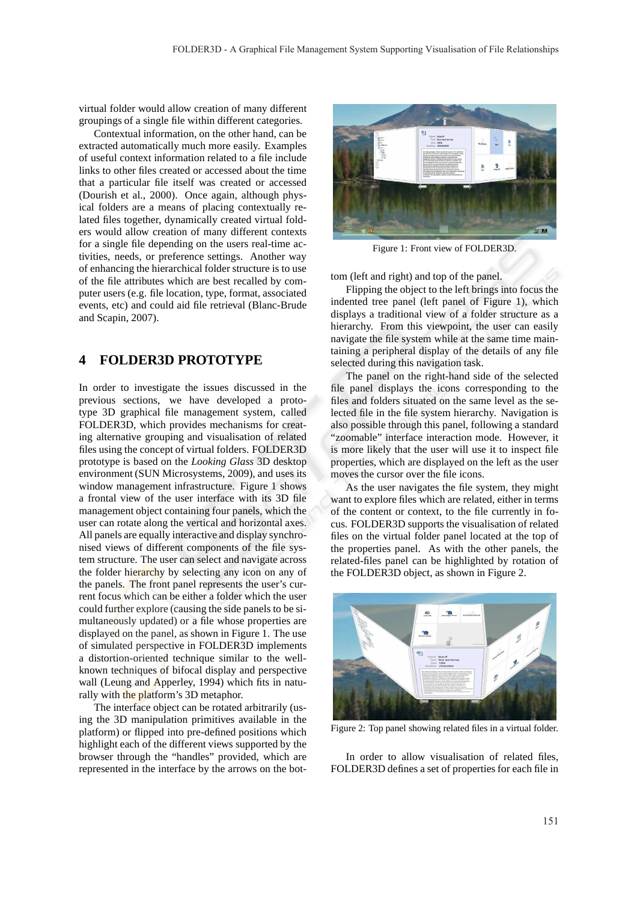virtual folder would allow creation of many different groupings of a single file within different categories.

Contextual information, on the other hand, can be extracted automatically much more easily. Examples of useful context information related to a file include links to other files created or accessed about the time that a particular file itself was created or accessed (Dourish et al., 2000). Once again, although physical folders are a means of placing contextually related files together, dynamically created virtual folders would allow creation of many different contexts for a single file depending on the users real-time activities, needs, or preference settings. Another way of enhancing the hierarchical folder structure is to use of the file attributes which are best recalled by computer users (e.g. file location, type, format, associated events, etc) and could aid file retrieval (Blanc-Brude and Scapin, 2007).

### **4 FOLDER3D PROTOTYPE**

In order to investigate the issues discussed in the previous sections, we have developed a prototype 3D graphical file management system, called FOLDER3D, which provides mechanisms for creating alternative grouping and visualisation of related files using the concept of virtual folders. FOLDER3D prototype is based on the *Looking Glass* 3D desktop environment (SUN Microsystems, 2009), and uses its window management infrastructure. Figure 1 shows a frontal view of the user interface with its 3D file management object containing four panels, which the user can rotate along the vertical and horizontal axes. All panels are equally interactive and display synchronised views of different components of the file system structure. The user can select and navigate across the folder hierarchy by selecting any icon on any of the panels. The front panel represents the user's current focus which can be either a folder which the user could further explore (causing the side panels to be simultaneously updated) or a file whose properties are displayed on the panel, as shown in Figure 1. The use of simulated perspective in FOLDER3D implements a distortion-oriented technique similar to the wellknown techniques of bifocal display and perspective wall (Leung and Apperley, 1994) which fits in naturally with the platform's 3D metaphor.

The interface object can be rotated arbitrarily (using the 3D manipulation primitives available in the platform) or flipped into pre-defined positions which highlight each of the different views supported by the browser through the "handles" provided, which are represented in the interface by the arrows on the bot-



Figure 1: Front view of FOLDER3D.

tom (left and right) and top of the panel.

Flipping the object to the left brings into focus the indented tree panel (left panel of Figure 1), which displays a traditional view of a folder structure as a hierarchy. From this viewpoint, the user can easily navigate the file system while at the same time maintaining a peripheral display of the details of any file selected during this navigation task.

The panel on the right-hand side of the selected file panel displays the icons corresponding to the files and folders situated on the same level as the selected file in the file system hierarchy. Navigation is also possible through this panel, following a standard "zoomable" interface interaction mode. However, it is more likely that the user will use it to inspect file properties, which are displayed on the left as the user moves the cursor over the file icons.

As the user navigates the file system, they might want to explore files which are related, either in terms of the content or context, to the file currently in focus. FOLDER3D supports the visualisation of related files on the virtual folder panel located at the top of the properties panel. As with the other panels, the related-files panel can be highlighted by rotation of the FOLDER3D object, as shown in Figure 2.



Figure 2: Top panel showing related files in a virtual folder.

In order to allow visualisation of related files, FOLDER3D defines a set of properties for each file in